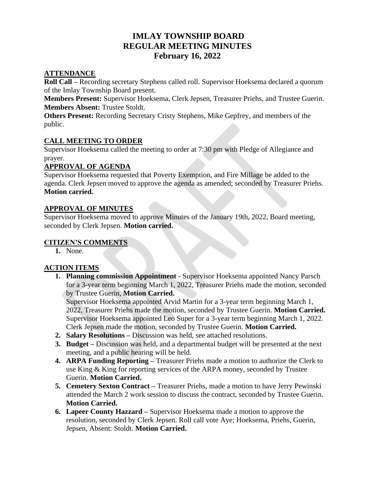# **IMLAY TOWNSHIP BOARD REGULAR MEETING MINUTES February 16, 2022**

#### **ATTENDANCE**

**Roll Call –** Recording secretary Stephens called roll. Supervisor Hoeksema declared a quorum of the Imlay Township Board present.

**Members Present:** Supervisor Hoeksema, Clerk Jepsen, Treasurer Priehs, and Trustee Guerin. **Members Absent:** Trustee Stoldt.

**Others Present:** Recording Secretary Cristy Stephens, Mike Gepfrey, and members of the public.

#### **CALL MEETING TO ORDER**

Supervisor Hoeksema called the meeting to order at 7:30 pm with Pledge of Allegiance and prayer.

#### **APPROVAL OF AGENDA**

Supervisor Hoeksema requested that Poverty Exemption, and Fire Millage be added to the agenda. Clerk Jepsen moved to approve the agenda as amended; seconded by Treasurer Priehs. **Motion carried.**

#### **APPROVAL OF MINUTES**

Supervisor Hoeksema moved to approve Minutes of the January 19th, 2022, Board meeting, seconded by Clerk Jepsen. **Motion carried.**

#### **CITIZEN'S COMMENTS**

**1.** None.

#### **ACTION ITEMS**

**1. Planning commission Appointment -** Supervisor Hoeksema appointed Nancy Parsch for a 3-year term beginning March 1, 2022, Treasurer Priehs made the motion, seconded by Trustee Guerin, **Motion Carried.**

Supervisor Hoeksema appointed Arvid Martin for a 3-year term beginning March 1, 2022, Treasurer Priehs made the motion, seconded by Trustee Guerin. **Motion Carried.**  Supervisor Hoeksema appointed Leo Super for a 3-year term beginning March 1, 2022. Clerk Jepsen made the motion, seconded by Trustee Guerin. **Motion Carried.** 

- **2. Salary Resolutions –** Discussion was held, see attached resolutions.
- **3. Budget –** Discussion was held, and a departmental budget will be presented at the next meeting, and a public hearing will be held.
- **4. ARPA Funding Reporting –** Treasurer Priehs made a motion to authorize the Clerk to use King & King for reporting services of the ARPA money, seconded by Trustee Guerin. **Motion Carried.**
- **5. Cemetery Sexton Contract –** Treasurer Priehs, made a motion to have Jerry Pewinski attended the March 2 work session to discuss the contract, seconded by Trustee Guerin. **Motion Carried.**
- **6. Lapeer County Hazzard –** Supervisor Hoeksema made a motion to approve the resolution, seconded by Clerk Jepsen. Roll call vote Aye; Hoeksema, Priehs, Guerin, Jepsen, Absent: Stoldt. **Motion Carried.**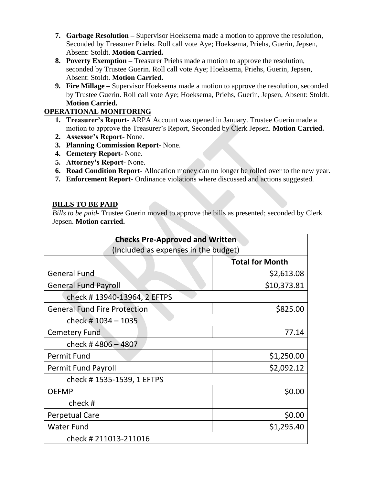- **7. Garbage Resolution –** Supervisor Hoeksema made a motion to approve the resolution, Seconded by Treasurer Priehs. Roll call vote Aye; Hoeksema, Priehs, Guerin, Jepsen, Absent: Stoldt. **Motion Carried.**
- **8. Poverty Exemption –** Treasurer Priehs made a motion to approve the resolution, seconded by Trustee Guerin. Roll call vote Aye; Hoeksema, Priehs, Guerin, Jepsen, Absent: Stoldt. **Motion Carried.**
- **9. Fire Millage –** Supervisor Hoeksema made a motion to approve the resolution, seconded by Trustee Guerin. Roll call vote Aye; Hoeksema, Priehs, Guerin, Jepsen, Absent: Stoldt. **Motion Carried.**

## **OPERATIONAL MONITORING**

- **1. Treasurer's Report-** ARPA Account was opened in January. Trustee Guerin made a motion to approve the Treasurer's Report, Seconded by Clerk Jepsen. **Motion Carried.**
- **2. Assessor's Report-** None.
- **3. Planning Commission Report-** None.
- **4. Cemetery Report-** None.
- **5. Attorney's Report-** None.
- **6. Road Condition Report-** Allocation money can no longer be rolled over to the new year.
- **7. Enforcement Report-** Ordinance violations where discussed and actions suggested.

### **BILLS TO BE PAID**

*Bills to be paid-* Trustee Guerin moved to approve the bills as presented; seconded by Clerk Jepsen. **Motion carried.**

| <b>Checks Pre-Approved and Written</b><br>(Included as expenses in the budget) |             |
|--------------------------------------------------------------------------------|-------------|
|                                                                                |             |
| <b>General Fund</b>                                                            | \$2,613.08  |
| <b>General Fund Payroll</b>                                                    | \$10,373.81 |
| check #13940-13964, 2 EFTPS                                                    |             |
| <b>General Fund Fire Protection</b>                                            | \$825.00    |
| check #1034 - 1035                                                             |             |
| <b>Cemetery Fund</b>                                                           | 77.14       |
| check #4806 - 4807                                                             |             |
| <b>Permit Fund</b>                                                             | \$1,250.00  |
| <b>Permit Fund Payroll</b>                                                     | \$2,092.12  |
| check #1535-1539, 1 EFTPS                                                      |             |
| <b>OEFMP</b>                                                                   | \$0.00      |
| check#                                                                         |             |
| <b>Perpetual Care</b>                                                          | \$0.00      |
| <b>Water Fund</b>                                                              | \$1,295.40  |
| check #211013-211016                                                           |             |